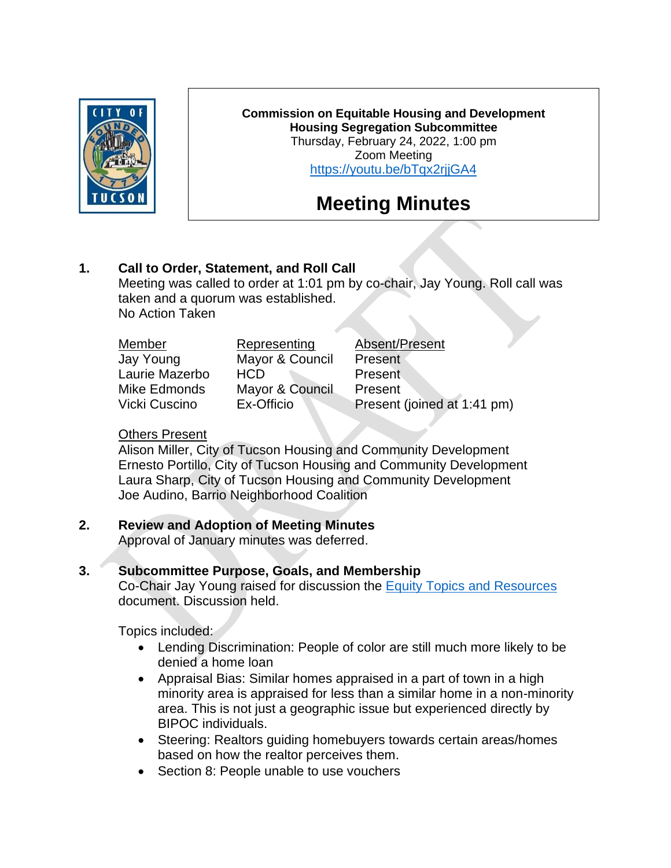

**Commission on Equitable Housing and Development Housing Segregation Subcommittee** Thursday, February 24, 2022, 1:00 pm Zoom Meeting <https://youtu.be/bTqx2rjjGA4>

# **Meeting Minutes**

# **1. Call to Order, Statement, and Roll Call**

Meeting was called to order at 1:01 pm by co-chair, Jay Young. Roll call was taken and a quorum was established. No Action Taken

| Member         | Representing    | Absent/Present              |
|----------------|-----------------|-----------------------------|
| Jay Young      | Mayor & Council | Present                     |
| Laurie Mazerbo | <b>HCD</b>      | <b>Present</b>              |
| Mike Edmonds   | Mayor & Council | Present                     |
| Vicki Cuscino  | Ex-Officio      | Present (joined at 1:41 pm) |
|                |                 |                             |

#### Others Present

Alison Miller, City of Tucson Housing and Community Development Ernesto Portillo, City of Tucson Housing and Community Development Laura Sharp, City of Tucson Housing and Community Development Joe Audino, Barrio Neighborhood Coalition

## **2. Review and Adoption of Meeting Minutes**

Approval of January minutes was deferred.

## **3. Subcommittee Purpose, Goals, and Membership**

Co-Chair Jay Young raised for discussion the [Equity Topics and Resources](https://www.tucsonaz.gov/files/hcd/CEhd/HSS/Jan_2022/Equity_Topics_and_Resources_for_HSS.pdf) document. Discussion held.

Topics included:

- Lending Discrimination: People of color are still much more likely to be denied a home loan
- Appraisal Bias: Similar homes appraised in a part of town in a high minority area is appraised for less than a similar home in a non-minority area. This is not just a geographic issue but experienced directly by BIPOC individuals.
- Steering: Realtors guiding homebuyers towards certain areas/homes based on how the realtor perceives them.
- Section 8: People unable to use vouchers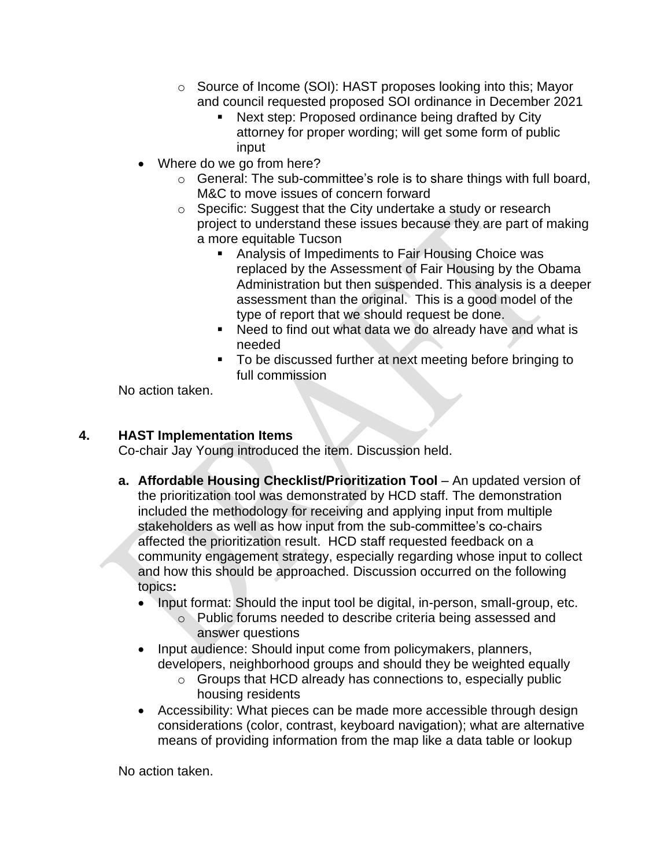- o Source of Income (SOI): HAST proposes looking into this; Mayor and council requested proposed SOI ordinance in December 2021
	- Next step: Proposed ordinance being drafted by City attorney for proper wording; will get some form of public input
- Where do we go from here?
	- o General: The sub-committee's role is to share things with full board, M&C to move issues of concern forward
	- o Specific: Suggest that the City undertake a study or research project to understand these issues because they are part of making a more equitable Tucson
		- Analysis of Impediments to Fair Housing Choice was replaced by the Assessment of Fair Housing by the Obama Administration but then suspended. This analysis is a deeper assessment than the original. This is a good model of the type of report that we should request be done.
		- Need to find out what data we do already have and what is needed
		- To be discussed further at next meeting before bringing to full commission

No action taken.

## **4. HAST Implementation Items**

Co-chair Jay Young introduced the item. Discussion held.

- **a. Affordable Housing Checklist/Prioritization Tool** An updated version of the prioritization tool was demonstrated by HCD staff. The demonstration included the methodology for receiving and applying input from multiple stakeholders as well as how input from the sub-committee's co-chairs affected the prioritization result. HCD staff requested feedback on a community engagement strategy, especially regarding whose input to collect and how this should be approached. Discussion occurred on the following topics**:**
	- Input format: Should the input tool be digital, in-person, small-group, etc.
		- o Public forums needed to describe criteria being assessed and answer questions
	- Input audience: Should input come from policymakers, planners, developers, neighborhood groups and should they be weighted equally
		- o Groups that HCD already has connections to, especially public housing residents
	- Accessibility: What pieces can be made more accessible through design considerations (color, contrast, keyboard navigation); what are alternative means of providing information from the map like a data table or lookup

No action taken.